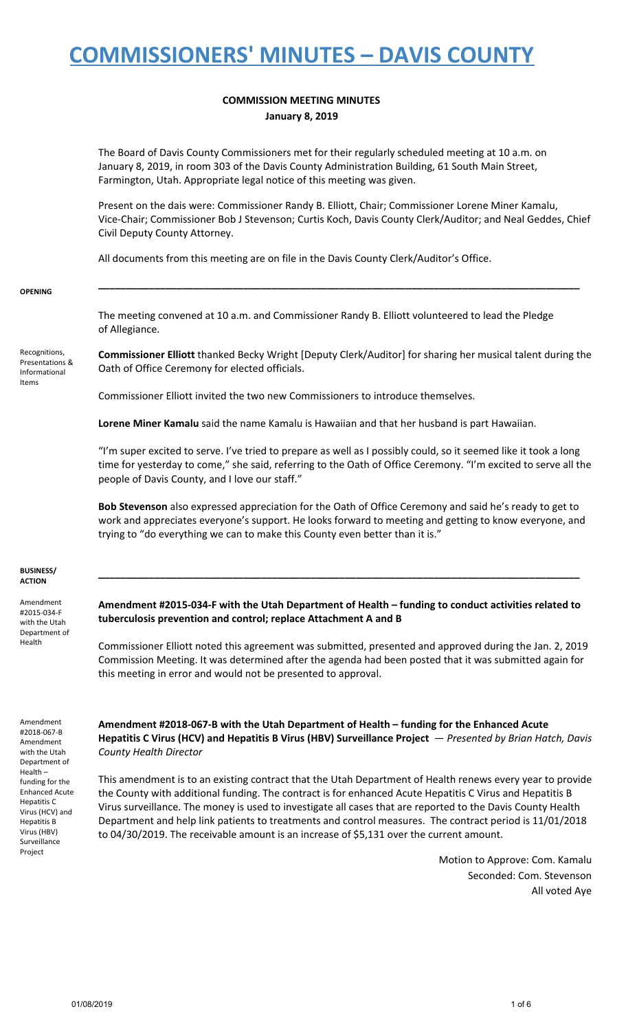### **COMMISSION MEETING MINUTES January 8, 2019**

The Board of Davis County Commissioners met for their regularly scheduled meeting at 10 a.m. on January 8, 2019, in room 303 of the Davis County Administration Building, 61 South Main Street, Farmington, Utah. Appropriate legal notice of this meeting was given.

Present on the dais were: Commissioner Randy B. Elliott, Chair; Commissioner Lorene Miner Kamalu, Vice-Chair; Commissioner Bob J Stevenson; Curtis Koch, Davis County Clerk/Auditor; and Neal Geddes, Chief Civil Deputy County Attorney.

All documents from this meeting are on file in the Davis County Clerk/Auditor's Office.

#### **OPENING**

The meeting convened at 10 a.m. and Commissioner Randy B. Elliott volunteered to lead the Pledge of Allegiance.

Recognitions, Presentations & Informational Items

**Commissioner Elliott** thanked Becky Wright [Deputy Clerk/Auditor] for sharing her musical talent during the Oath of Office Ceremony for elected officials.

**\_\_\_\_\_\_\_\_\_\_\_\_\_\_\_\_\_\_\_\_\_\_\_\_\_\_\_\_\_\_\_\_\_\_\_\_\_\_\_\_\_\_\_\_\_\_\_\_\_\_\_\_\_\_\_\_\_\_\_\_\_\_\_\_\_\_\_\_\_\_\_\_\_\_\_\_\_\_\_\_\_\_\_\_\_\_**

Commissioner Elliott invited the two new Commissioners to introduce themselves.

**Lorene Miner Kamalu** said the name Kamalu is Hawaiian and that her husband is part Hawaiian.

"I'm super excited to serve. I've tried to prepare as well as I possibly could, so it seemed like it took a long time for yesterday to come," she said, referring to the Oath of Office Ceremony. "I'm excited to serve all the people of Davis County, and I love our staff."

**Bob Stevenson** also expressed appreciation for the Oath of Office Ceremony and said he's ready to get to work and appreciates everyone's support. He looks forward to meeting and getting to know everyone, and trying to "do everything we can to make this County even better than it is."

#### **BUSINESS/ ACTION**

Amendment #2015-034-F with the Utah Department of Health

### **Amendment #2015-034-F with the Utah Department of Health – funding to conduct activities related to tuberculosis prevention and control; replace Attachment A and B**

**\_\_\_\_\_\_\_\_\_\_\_\_\_\_\_\_\_\_\_\_\_\_\_\_\_\_\_\_\_\_\_\_\_\_\_\_\_\_\_\_\_\_\_\_\_\_\_\_\_\_\_\_\_\_\_\_\_\_\_\_\_\_\_\_\_\_\_\_\_\_\_\_\_\_\_\_\_\_\_\_\_\_\_\_\_\_**

Commissioner Elliott noted this agreement was submitted, presented and approved during the Jan. 2, 2019 Commission Meeting. It was determined after the agenda had been posted that it was submitted again for this meeting in error and would not be presented to approval.

Amendment #2018-067-B Amendment with the Utah Department of Health – funding for the Enhanced Acute Hepatitis C Virus (HCV) and Hepatitis B Virus (HBV) Surveillance Project

**Amendment #2018-067-B with the Utah Department of Health – funding for the Enhanced Acute Hepatitis C Virus (HCV) and Hepatitis B Virus (HBV) Surveillance Project** — *Presented by Brian Hatch, Davis County Health Director*

This amendment is to an existing contract that the Utah Department of Health renews every year to provide the County with additional funding. The contract is for enhanced Acute Hepatitis C Virus and Hepatitis B Virus surveillance. The money is used to investigate all cases that are reported to the Davis County Health Department and help link patients to treatments and control measures. The contract period is 11/01/2018 to 04/30/2019. The receivable amount is an increase of \$5,131 over the current amount.

> Motion to Approve: Com. Kamalu Seconded: Com. Stevenson All voted Aye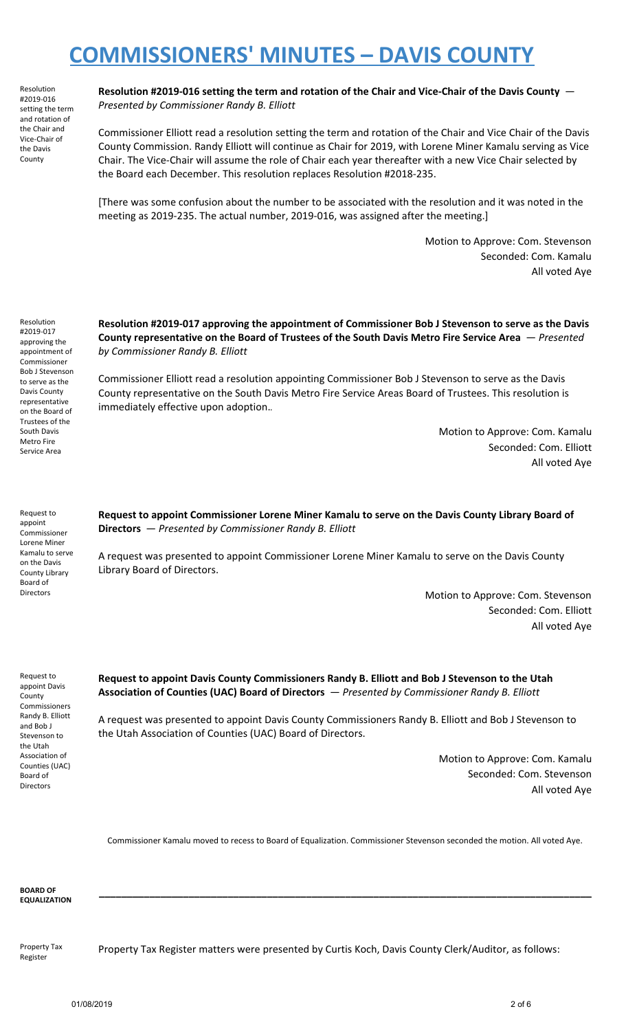Resolution #2019-016 setting the term and rotation of the Chair and Vice-Chair of the Davis County

**Resolution #2019-016 setting the term and rotation of the Chair and Vice-Chair of the Davis County** — *Presented by Commissioner Randy B. Elliott*

Commissioner Elliott read a resolution setting the term and rotation of the Chair and Vice Chair of the Davis County Commission. Randy Elliott will continue as Chair for 2019, with Lorene Miner Kamalu serving as Vice Chair. The Vice-Chair will assume the role of Chair each year thereafter with a new Vice Chair selected by the Board each December. This resolution replaces Resolution #2018-235.

[There was some confusion about the number to be associated with the resolution and it was noted in the meeting as 2019-235. The actual number, 2019-016, was assigned after the meeting.]

> Motion to Approve: Com. Stevenson Seconded: Com. Kamalu All voted Aye

Resolution #2019-017 approving the appointment of Commissioner Bob J Stevenson to serve as the Davis County representative on the Board of Trustees of the South Davis Metro Fire Service Area

**Resolution #2019-017 approving the appointment of Commissioner Bob J Stevenson to serve as the Davis County representative on the Board of Trustees of the South Davis Metro Fire Service Area** — *Presented by Commissioner Randy B. Elliott*

Commissioner Elliott read a resolution appointing Commissioner Bob J Stevenson to serve as the Davis County representative on the South Davis Metro Fire Service Areas Board of Trustees. This resolution is immediately effective upon adoption.*.*

> Motion to Approve: Com. Kamalu Seconded: Com. Elliott All voted Aye

Request to appoint Commissioner Lorene Miner Kamalu to serve on the Davis County Library Board of Directors

**Request to appoint Commissioner Lorene Miner Kamalu to serve on the Davis County Library Board of Directors** — *Presented by Commissioner Randy B. Elliott*

A request was presented to appoint Commissioner Lorene Miner Kamalu to serve on the Davis County Library Board of Directors.

> Motion to Approve: Com. Stevenson Seconded: Com. Elliott All voted Aye

Request to appoint Davis **County** Commissioners Randy B. Elliott and Bob J Stevenson to the Utah Association of Counties (UAC) Board of Directors

**Request to appoint Davis County Commissioners Randy B. Elliott and Bob J Stevenson to the Utah Association of Counties (UAC) Board of Directors** — *Presented by Commissioner Randy B. Elliott*

A request was presented to appoint Davis County Commissioners Randy B. Elliott and Bob J Stevenson to the Utah Association of Counties (UAC) Board of Directors.

> Motion to Approve: Com. Kamalu Seconded: Com. Stevenson All voted Aye

Commissioner Kamalu moved to recess to Board of Equalization. Commissioner Stevenson seconded the motion. All voted Aye.

**\_\_\_\_\_\_\_\_\_\_\_\_\_\_\_\_\_\_\_\_\_\_\_\_\_\_\_\_\_\_\_\_\_\_\_\_\_\_\_\_\_\_\_\_\_\_\_\_\_\_\_\_\_\_\_\_\_\_\_\_\_\_\_\_\_\_\_\_\_\_\_\_\_\_\_\_\_\_\_\_\_\_\_\_\_\_\_\_**

**BOARD OF EQUALIZATION**

Property Tax Register

Property Tax Register matters were presented by Curtis Koch, Davis County Clerk/Auditor, as follows: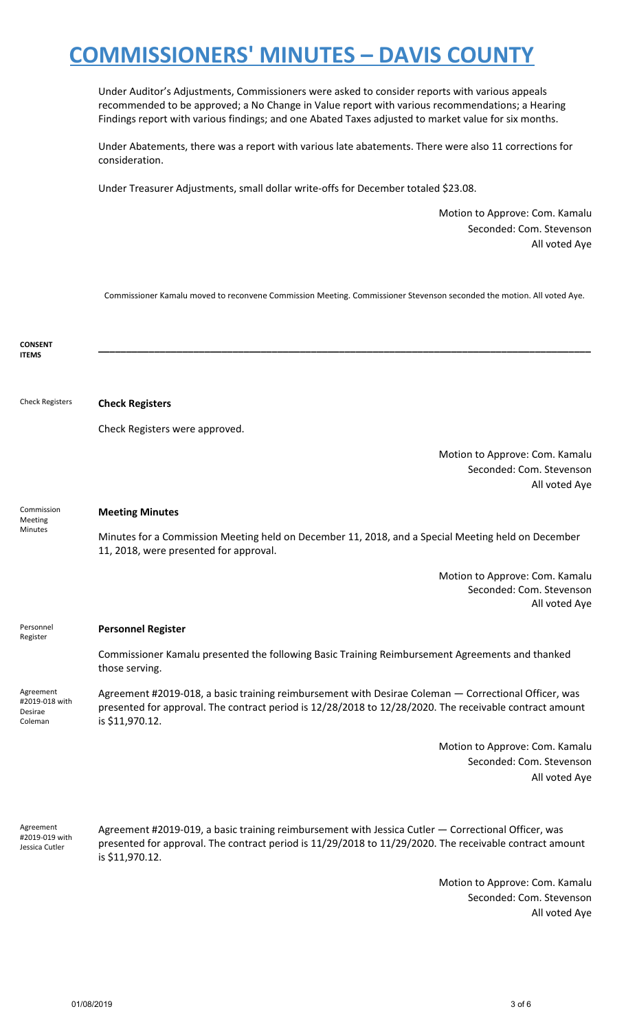Under Auditor's Adjustments, Commissioners were asked to consider reports with various appeals recommended to be approved; a No Change in Value report with various recommendations; a Hearing Findings report with various findings; and one Abated Taxes adjusted to market value for six months.

Under Abatements, there was a report with various late abatements. There were also 11 corrections for consideration.

Under Treasurer Adjustments, small dollar write-offs for December totaled \$23.08.

Motion to Approve: Com. Kamalu Seconded: Com. Stevenson All voted Aye

Commissioner Kamalu moved to reconvene Commission Meeting. Commissioner Stevenson seconded the motion. All voted Aye.

| <b>CONSENT</b><br><b>ITEMS</b>                    |                                                                                                                                                                                                                                    |
|---------------------------------------------------|------------------------------------------------------------------------------------------------------------------------------------------------------------------------------------------------------------------------------------|
|                                                   |                                                                                                                                                                                                                                    |
| <b>Check Registers</b>                            | <b>Check Registers</b>                                                                                                                                                                                                             |
|                                                   | Check Registers were approved.                                                                                                                                                                                                     |
|                                                   | Motion to Approve: Com. Kamalu<br>Seconded: Com. Stevenson                                                                                                                                                                         |
|                                                   | All voted Aye                                                                                                                                                                                                                      |
| Commission<br>Meeting<br>Minutes                  | <b>Meeting Minutes</b>                                                                                                                                                                                                             |
|                                                   | Minutes for a Commission Meeting held on December 11, 2018, and a Special Meeting held on December<br>11, 2018, were presented for approval.                                                                                       |
|                                                   | Motion to Approve: Com. Kamalu<br>Seconded: Com. Stevenson<br>All voted Aye                                                                                                                                                        |
| Personnel<br>Register                             | <b>Personnel Register</b>                                                                                                                                                                                                          |
|                                                   | Commissioner Kamalu presented the following Basic Training Reimbursement Agreements and thanked<br>those serving.                                                                                                                  |
| Agreement<br>#2019-018 with<br>Desirae<br>Coleman | Agreement #2019-018, a basic training reimbursement with Desirae Coleman - Correctional Officer, was<br>presented for approval. The contract period is 12/28/2018 to 12/28/2020. The receivable contract amount<br>is \$11,970.12. |
|                                                   | Motion to Approve: Com. Kamalu<br>Seconded: Com. Stevenson<br>All voted Aye                                                                                                                                                        |
| Agreement<br>#2019-019 with<br>Jessica Cutler     | Agreement #2019-019, a basic training reimbursement with Jessica Cutler - Correctional Officer, was<br>presented for approval. The contract period is 11/29/2018 to 11/29/2020. The receivable contract amount                     |
|                                                   | is \$11,970.12.                                                                                                                                                                                                                    |

Seconded: Com. Stevenson All voted Aye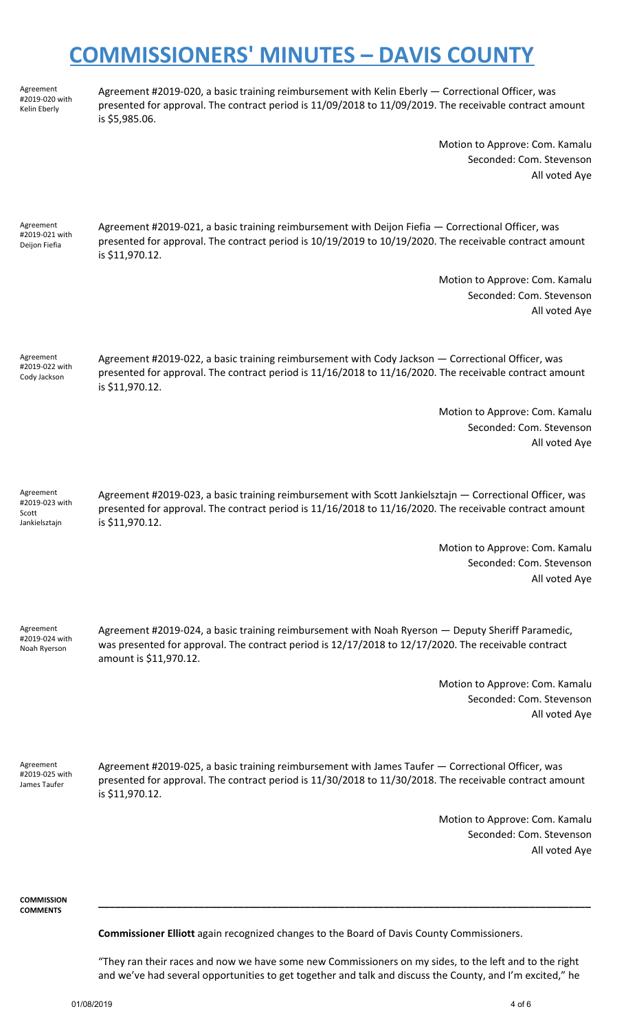Agreement #2019-020 with Kelin Eberly

Agreement #2019-020, a basic training reimbursement with Kelin Eberly — Correctional Officer, was presented for approval. The contract period is 11/09/2018 to 11/09/2019. The receivable contract amount is \$5,985.06.

> Motion to Approve: Com. Kamalu Seconded: Com. Stevenson All voted Aye

Agreement #2019-021 with Deijon Fiefia

Agreement #2019-021, a basic training reimbursement with Deijon Fiefia — Correctional Officer, was presented for approval. The contract period is 10/19/2019 to 10/19/2020. The receivable contract amount is \$11,970.12.

> Motion to Approve: Com. Kamalu Seconded: Com. Stevenson All voted Aye

Agreement #2019-022 with Cody Jackson

Agreement #2019-022, a basic training reimbursement with Cody Jackson — Correctional Officer, was presented for approval. The contract period is 11/16/2018 to 11/16/2020. The receivable contract amount is \$11,970.12.

> Motion to Approve: Com. Kamalu Seconded: Com. Stevenson All voted Aye

Agreement #2019-023 with Scott Jankielsztajn

Agreement #2019-023, a basic training reimbursement with Scott Jankielsztajn — Correctional Officer, was presented for approval. The contract period is 11/16/2018 to 11/16/2020. The receivable contract amount is \$11,970.12.

> Motion to Approve: Com. Kamalu Seconded: Com. Stevenson All voted Aye

Agreement #2019-024 with Noah Ryerson

Agreement #2019-024, a basic training reimbursement with Noah Ryerson — Deputy Sheriff Paramedic, was presented for approval. The contract period is 12/17/2018 to 12/17/2020. The receivable contract amount is \$11,970.12.

> Motion to Approve: Com. Kamalu Seconded: Com. Stevenson All voted Aye

Agreement #2019-025 with James Taufer

Agreement #2019-025, a basic training reimbursement with James Taufer — Correctional Officer, was presented for approval. The contract period is 11/30/2018 to 11/30/2018. The receivable contract amount is \$11,970.12.

> Motion to Approve: Com. Kamalu Seconded: Com. Stevenson All voted Aye

**COMMISSION COMMENTS**

**Commissioner Elliott** again recognized changes to the Board of Davis County Commissioners.

"They ran their races and now we have some new Commissioners on my sides, to the left and to the right and we've had several opportunities to get together and talk and discuss the County, and I'm excited," he

**\_\_\_\_\_\_\_\_\_\_\_\_\_\_\_\_\_\_\_\_\_\_\_\_\_\_\_\_\_\_\_\_\_\_\_\_\_\_\_\_\_\_\_\_\_\_\_\_\_\_\_\_\_\_\_\_\_\_\_\_\_\_\_\_\_\_\_\_\_\_\_\_\_\_\_\_\_\_\_\_\_\_\_\_\_\_\_\_**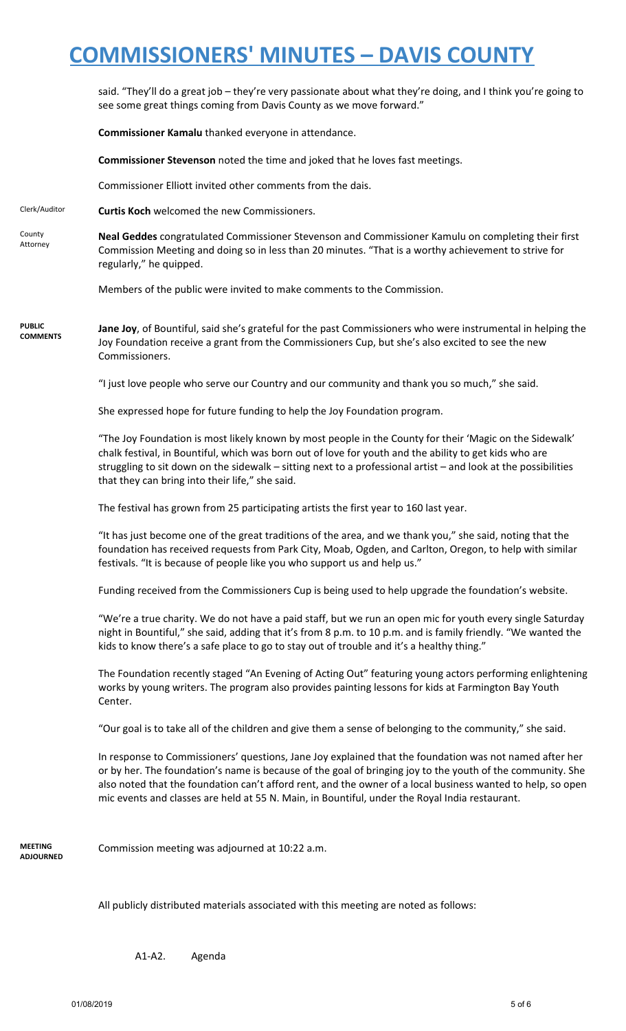said. "They'll do a great job – they're very passionate about what they're doing, and I think you're going to see some great things coming from Davis County as we move forward."

**Commissioner Kamalu** thanked everyone in attendance.

**Commissioner Stevenson** noted the time and joked that he loves fast meetings.

Commissioner Elliott invited other comments from the dais.

Clerk/Auditor **Curtis Koch** welcomed the new Commissioners.

County Attorney **Neal Geddes** congratulated Commissioner Stevenson and Commissioner Kamulu on completing their first Commission Meeting and doing so in less than 20 minutes. "That is a worthy achievement to strive for regularly," he quipped.

Members of the public were invited to make comments to the Commission.

**PUBLIC COMMENTS Jane Joy**, of Bountiful, said she's grateful for the past Commissioners who were instrumental in helping the Joy Foundation receive a grant from the Commissioners Cup, but she's also excited to see the new Commissioners.

"I just love people who serve our Country and our community and thank you so much," she said.

She expressed hope for future funding to help the Joy Foundation program.

"The Joy Foundation is most likely known by most people in the County for their 'Magic on the Sidewalk' chalk festival, in Bountiful, which was born out of love for youth and the ability to get kids who are struggling to sit down on the sidewalk – sitting next to a professional artist – and look at the possibilities that they can bring into their life," she said.

The festival has grown from 25 participating artists the first year to 160 last year.

"It has just become one of the great traditions of the area, and we thank you," she said, noting that the foundation has received requests from Park City, Moab, Ogden, and Carlton, Oregon, to help with similar festivals. "It is because of people like you who support us and help us."

Funding received from the Commissioners Cup is being used to help upgrade the foundation's website.

"We're a true charity. We do not have a paid staff, but we run an open mic for youth every single Saturday night in Bountiful," she said, adding that it's from 8 p.m. to 10 p.m. and is family friendly. "We wanted the kids to know there's a safe place to go to stay out of trouble and it's a healthy thing."

The Foundation recently staged "An Evening of Acting Out" featuring young actors performing enlightening works by young writers. The program also provides painting lessons for kids at Farmington Bay Youth Center.

"Our goal is to take all of the children and give them a sense of belonging to the community," she said.

In response to Commissioners' questions, Jane Joy explained that the foundation was not named after her or by her. The foundation's name is because of the goal of bringing joy to the youth of the community. She also noted that the foundation can't afford rent, and the owner of a local business wanted to help, so open mic events and classes are held at 55 N. Main, in Bountiful, under the Royal India restaurant.

**MEETING ADJOURNED**

Commission meeting was adjourned at 10:22 a.m.

All publicly distributed materials associated with this meeting are noted as follows:

A1-A2. Agenda